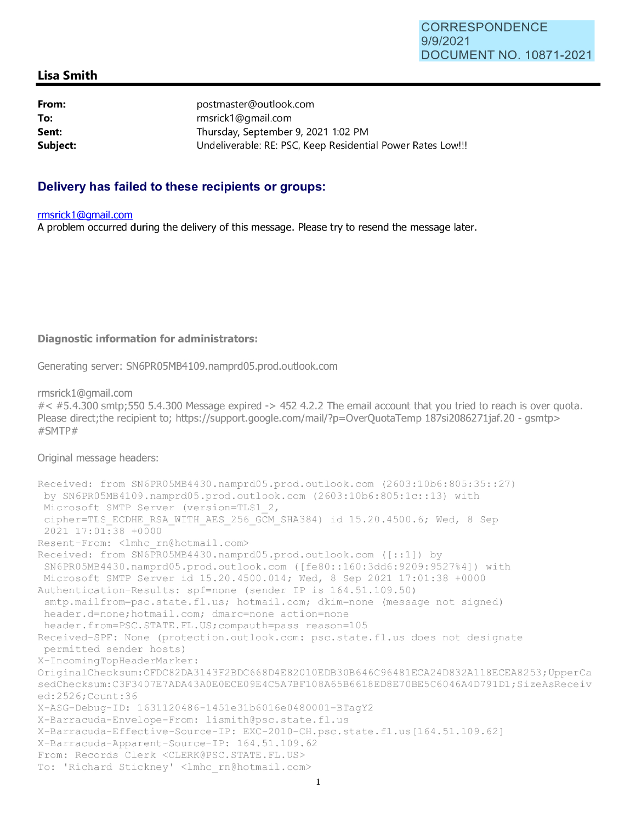# **Lisa Smith**

**From: To: Sent: postmaster@outlook.com rmsrick1 @gmail.com Thursday, September 9, 2021 1:02 PM Subject: Undeliverable: RE: PSC, Keep Residential Power Rates Low!!!** 

# **Delivery has failed to these recipients or groups:**

#### **rmsrickl@gmail.com**

**A problem occurred during the delivery of this message. Please try to resend the message later.** 

### **Diagnostic information for administrators:**

**Generating server: SN6PR05MB4109.namprd05.prod.outlook.com** 

**rmsrickl@gmail.com** 

#< **#5.4.300 smtp;550 5.4.300 Message expired -> 452 4.2.2 The email account that you tried to reach is over quota. Please direct;the recipient to; https://support.google.com/mail/?p=OverQuotaTemp 187si2086271jaf.20 - gsmtp> #SMTP#** 

#### **Original message headers:**

```
Received: from SN6PR05MB4430 . namprd05 . prod . outlook . com (2603:10b6:805:35: :27) 
by SN6PR05MB4109 . namprd05 . prod . outlook . com (2603:10b6:805:lc: : 13) with 
Microsoft SMTP Server (version=TLS1 2,
cipher=TLS ECDHE RSA WITH AES 256 GCM SHA384) id 15.20.4500.6; Wed, 8 Sep
2021 17:01 : 38 +0000 
Resent-From: <lmhc rn@hotmail.com> 
Received: from SN6PR05MB4430.namprd05.prod.outlook.com ([::1]) by
 SN6PR05MB4430 . namprd05 .prod.outlook . com ([fe80: : 160:3dd6 : 9209:9527%4 ]) with 
Microsoft SMTP Server id 15.20.4500.014; Wed, 8 Sep 2021 17:01:38 +0000
Authentication-Results: spf=none (sender IP is 164 . 51 . 109 .50) 
 smtp.mailfrom=psc.state.fl.us; hotmail.com; dkim=none (message not signed)
header . d=none;hotmail.com; dmarc=none action=none 
header.from=PSC . STATE . FL .US ; compauth=pass reason=l05 
Received-SPF : None (protection.outlook.com: psc.state.fl.us does not designate 
permitted sender hosts) 
X-IncomingTopHeaderMarker : 
OriginalChecksum: CFDC82DA3143F2BDC668D4E82010EDB30B646C96481ECA24D832A118ECEA8253 ;UpperCa 
sedChecksum: C3F3407E7ADA43A0E0ECE09E4C5A7BF108A65B6618ED8E70BE5C6046A4D791Dl ; SizeAsReceiv 
ed: 2526 ; Count : 36 
X-ASG-Debug-ID : 1631120486-1451e31b6016e0480001-BTagY2 
X-Barracuda-Envelope-From : l i smith@psc .state . fl . us 
X-Barracuda-Effective-Source-IP: EXC-2010-CH.psc . state . fl . us[164 . 51 . 109.62 ] 
X-Barracuda-Apparent-Source-IP : 164.51.109 . 62 
From: Records Clerk <CLERK@PSC.STATE . FL . US> 
To: 'Richard Stickney' <lmhc rn@hotmail.com>
```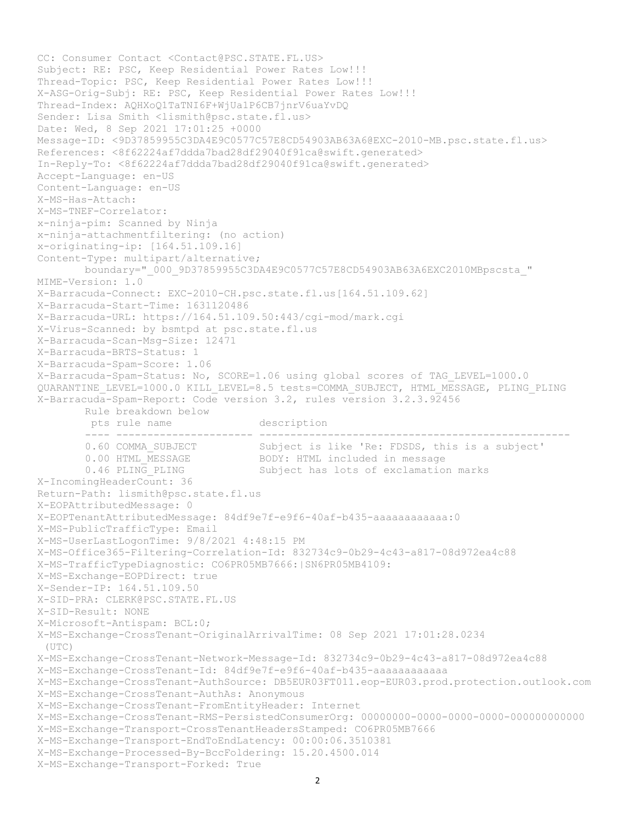```
CC: Consumer Contact <Contact@PSC.STATE.FL.US> 
Subject: RE: PSC, Keep Residential Power Rates Low!!! 
Thread-Topic: PSC, Keep Residential Power Rates Low!!! 
X-ASG-Orig-Subj: RE: PSC, Keep Residential Power Rates Low!!! 
Thread-Index: AQHXoQ1TaTNI6F+WjUa1P6CB7jnrV6uaYvDQ 
Sender: Lisa Smith <lismith@psc.state.fl.us>
Date: Wed, 8 Sep 2021 17:01:25 +0000 
Message-ID: <9D37859955C3DA4E9C0577C57E8CD54903AB63A6@EXC-2010-MB.psc.state.fl.us> 
References: <8f62224af7ddda7bad28df29040f91ca@swift.generated> 
In-Reply-To: <8f62224af7ddda7bad28df29040f91ca@swift.generated> 
Accept-Language: en-US 
Content-Language: en-US 
X-MS-Has-Attach: 
X-MS-TNEF-Correlator: 
x-ninja-pim: Scanned by Ninja 
x-ninja-attachmentfiltering: (no action) 
x-originating-ip: [164.51.109.16] 
Content-Type: multipart/alternative; 
        boundary="_000_9D37859955C3DA4E9C0577C57E8CD54903AB63A6EXC2010MBpscsta_" 
MIME-Version: 1.0 
X-Barracuda-Connect: EXC-2010-CH.psc.state.fl.us[164.51.109.62] 
X-Barracuda-Start-Time: 1631120486 
X-Barracuda-URL: https://164.51.109.50:443/cgi-mod/mark.cgi 
X-Virus-Scanned: by bsmtpd at psc.state.fl.us 
X-Barracuda-Scan-Msg-Size: 12471 
X-Barracuda-BRTS-Status: 1 
X-Barracuda-Spam-Score: 1.06 
X-Barracuda-Spam-Status: No, SCORE=1.06 using global scores of TAG_LEVEL=1000.0 
QUARANTINE_LEVEL=1000.0 KILL_LEVEL=8.5 tests=COMMA_SUBJECT, HTML_MESSAGE, PLING_PLING 
X-Barracuda-Spam-Report: Code version 3.2, rules version 3.2.3.92456 
        Rule breakdown below 
        pts rule name description 
        ---- ---------------------- -------------------------------------------------- 
 0.60 COMMA_SUBJECT Subject is like 'Re: FDSDS, this is a subject' 
0.00 HTML_MESSAGE BODY: HTML included in message
0.46 PLING_PLING Subject has lots of exclamation marks
X-IncomingHeaderCount: 36 
Return-Path: lismith@psc.state.fl.us 
X-EOPAttributedMessage: 0 
X-EOPTenantAttributedMessage: 84df9e7f-e9f6-40af-b435-aaaaaaaaaaaa:0 
X-MS-PublicTrafficType: Email 
X-MS-UserLastLogonTime: 9/8/2021 4:48:15 PM 
X-MS-Office365-Filtering-Correlation-Id: 832734c9-0b29-4c43-a817-08d972ea4c88 
X-MS-TrafficTypeDiagnostic: CO6PR05MB7666:|SN6PR05MB4109: 
X-MS-Exchange-EOPDirect: true 
X-Sender-IP: 164.51.109.50 
X-SID-PRA: CLERK@PSC.STATE.FL.US 
X-SID-Result: NONE 
X-Microsoft-Antispam: BCL:0; 
X-MS-Exchange-CrossTenant-OriginalArrivalTime: 08 Sep 2021 17:01:28.0234 
  (UTC) 
X-MS-Exchange-CrossTenant-Network-Message-Id: 832734c9-0b29-4c43-a817-08d972ea4c88 
X-MS-Exchange-CrossTenant-Id: 84df9e7f-e9f6-40af-b435-aaaaaaaaaaaa 
X-MS-Exchange-CrossTenant-AuthSource: DB5EUR03FT011.eop-EUR03.prod.protection.outlook.com 
X-MS-Exchange-CrossTenant-AuthAs: Anonymous 
X-MS-Exchange-CrossTenant-FromEntityHeader: Internet 
X-MS-Exchange-CrossTenant-RMS-PersistedConsumerOrg: 00000000-0000-0000-0000-000000000000 
X-MS-Exchange-Transport-CrossTenantHeadersStamped: CO6PR05MB7666 
X-MS-Exchange-Transport-EndToEndLatency: 00:00:06.3510381 
X-MS-Exchange-Processed-By-BccFoldering: 15.20.4500.014 
X-MS-Exchange-Transport-Forked: True
```